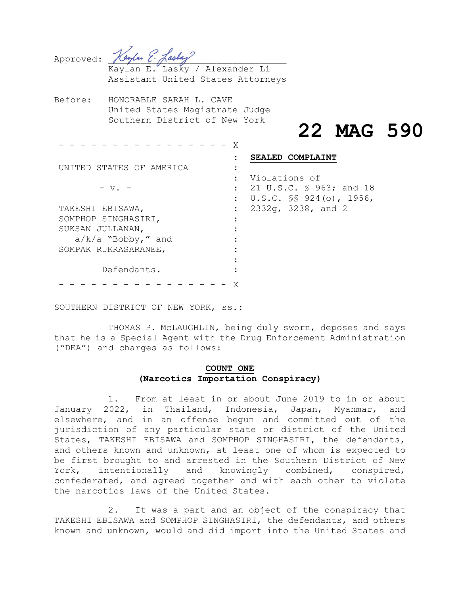| Approved: Haylan E. Laslay |  |  |
|----------------------------|--|--|

Kaylan E. Lasky / Alexander Li Assistant United States Attorneys

Before: HONORABLE SARAH L. CAVE United States Magistrate Judge Southern District of New York

# **22 MAG 590**

- - - - - - - - - - - - - - - - X UNITED STATES OF AMERICA  $-$  v.  $-$ TAKESHI EBISAWA, SOMPHOP SINGHASIRI, SUKSAN JULLANAN, a/k/a "Bobby," and SOMPAK RUKRASARANEE, Defendants. : **SEALED COMPLAINT** : : Violations of : 21 U.S.C. § 963; and 18 : U.S.C. §§ 924(o), 1956, : 2332g, 3238, and 2 : : : :  $\cdot$ : : - - - - - - - - - - - - - - - - X

SOUTHERN DISTRICT OF NEW YORK, ss.:

THOMAS P. McLAUGHLIN, being duly sworn, deposes and says that he is a Special Agent with the Drug Enforcement Administration ("DEA") and charges as follows:

## **COUNT ONE (Narcotics Importation Conspiracy)**

1. From at least in or about June 2019 to in or about January 2022, in Thailand, Indonesia, Japan, Myanmar, and elsewhere, and in an offense begun and committed out of the jurisdiction of any particular state or district of the United States, TAKESHI EBISAWA and SOMPHOP SINGHASIRI, the defendants, and others known and unknown, at least one of whom is expected to be first brought to and arrested in the Southern District of New York, intentionally and knowingly combined, conspired, confederated, and agreed together and with each other to violate the narcotics laws of the United States.

2. It was a part and an object of the conspiracy that TAKESHI EBISAWA and SOMPHOP SINGHASIRI, the defendants, and others known and unknown, would and did import into the United States and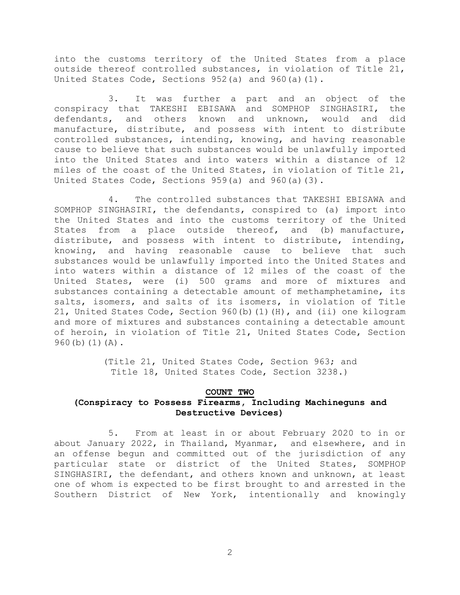into the customs territory of the United States from a place outside thereof controlled substances, in violation of Title 21, United States Code, Sections 952(a) and 960(a)(1).

3. It was further a part and an object of the conspiracy that TAKESHI EBISAWA and SOMPHOP SINGHASIRI, the defendants, and others known and unknown, would and did manufacture, distribute, and possess with intent to distribute controlled substances, intending, knowing, and having reasonable cause to believe that such substances would be unlawfully imported into the United States and into waters within a distance of 12 miles of the coast of the United States, in violation of Title 21, United States Code, Sections  $959(a)$  and  $960(a)(3)$ .

4. The controlled substances that TAKESHI EBISAWA and SOMPHOP SINGHASIRI, the defendants, conspired to (a) import into the United States and into the customs territory of the United States from a place outside thereof, and (b) manufacture, distribute, and possess with intent to distribute, intending, knowing, and having reasonable cause to believe that such substances would be unlawfully imported into the United States and into waters within a distance of 12 miles of the coast of the United States, were (i) 500 grams and more of mixtures and substances containing a detectable amount of methamphetamine, its salts, isomers, and salts of its isomers, in violation of Title 21, United States Code, Section 960(b)(1)(H), and (ii) one kilogram and more of mixtures and substances containing a detectable amount of heroin, in violation of Title 21, United States Code, Section  $960(b)(1)(A)$ .

> (Title 21, United States Code, Section 963; and Title 18, United States Code, Section 3238.)

#### **COUNT TWO**

## **(Conspiracy to Possess Firearms, Including Machineguns and Destructive Devices)**

5. From at least in or about February 2020 to in or about January 2022, in Thailand, Myanmar, and elsewhere, and in an offense begun and committed out of the jurisdiction of any particular state or district of the United States, SOMPHOP SINGHASIRI, the defendant, and others known and unknown, at least one of whom is expected to be first brought to and arrested in the Southern District of New York, intentionally and knowingly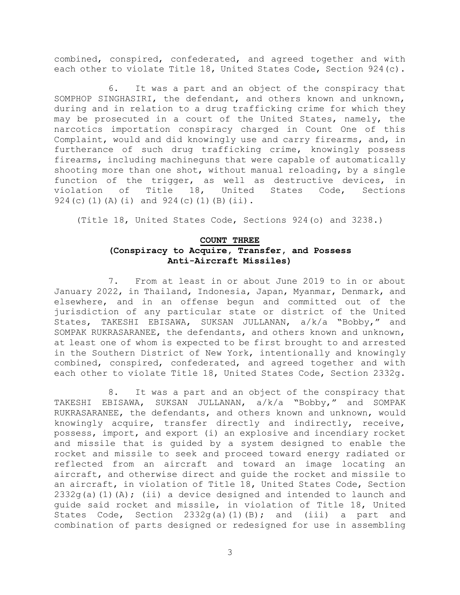combined, conspired, confederated, and agreed together and with each other to violate Title 18, United States Code, Section 924(c).

6. It was a part and an object of the conspiracy that SOMPHOP SINGHASIRI, the defendant, and others known and unknown, during and in relation to a drug trafficking crime for which they may be prosecuted in a court of the United States, namely, the narcotics importation conspiracy charged in Count One of this Complaint, would and did knowingly use and carry firearms, and, in furtherance of such drug trafficking crime, knowingly possess firearms, including machineguns that were capable of automatically shooting more than one shot, without manual reloading, by a single function of the trigger, as well as destructive devices, in violation of Title 18, United States Code, Sections 924(c)(1)(A)(i) and 924(c)(1)(B)(ii).

(Title 18, United States Code, Sections 924(o) and 3238.)

## **COUNT THREE**

# **(Conspiracy to Acquire, Transfer, and Possess Anti-Aircraft Missiles)**

7. From at least in or about June 2019 to in or about January 2022, in Thailand, Indonesia, Japan, Myanmar, Denmark, and elsewhere, and in an offense begun and committed out of the jurisdiction of any particular state or district of the United States, TAKESHI EBISAWA, SUKSAN JULLANAN, a/k/a "Bobby," and SOMPAK RUKRASARANEE, the defendants, and others known and unknown, at least one of whom is expected to be first brought to and arrested in the Southern District of New York, intentionally and knowingly combined, conspired, confederated, and agreed together and with each other to violate Title 18, United States Code, Section 2332g.

8. It was a part and an object of the conspiracy that TAKESHI EBISAWA, SUKSAN JULLANAN, a/k/a "Bobby," and SOMPAK RUKRASARANEE, the defendants, and others known and unknown, would knowingly acquire, transfer directly and indirectly, receive, possess, import, and export (i) an explosive and incendiary rocket and missile that is guided by a system designed to enable the rocket and missile to seek and proceed toward energy radiated or reflected from an aircraft and toward an image locating an aircraft, and otherwise direct and guide the rocket and missile to an aircraft, in violation of Title 18, United States Code, Section  $2332q(a)(1)(A);$  (ii) a device designed and intended to launch and guide said rocket and missile, in violation of Title 18, United States Code, Section 2332g(a)(1)(B); and (iii) a part and combination of parts designed or redesigned for use in assembling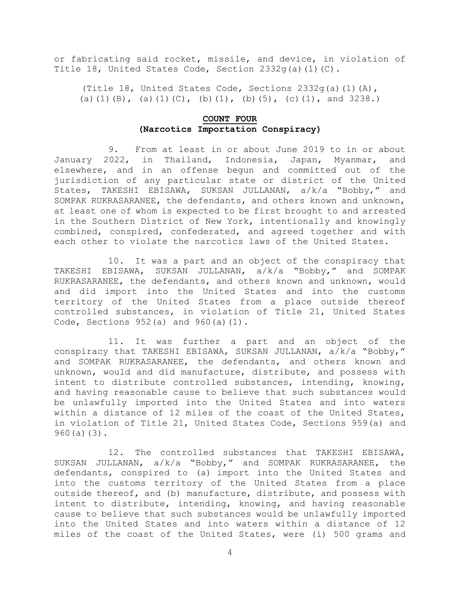or fabricating said rocket, missile, and device, in violation of Title 18, United States Code, Section  $2332q(a)(1)(C)$ .

(Title 18, United States Code, Sections  $2332q(a)(1)(A)$ , (a)(1)(B), (a)(1)(C), (b)(1), (b)(5), (c)(1), and 3238.)

## **COUNT FOUR (Narcotics Importation Conspiracy)**

9. From at least in or about June 2019 to in or about January 2022, in Thailand, Indonesia, Japan, Myanmar, and elsewhere, and in an offense begun and committed out of the jurisdiction of any particular state or district of the United States, TAKESHI EBISAWA, SUKSAN JULLANAN, a/k/a "Bobby," and SOMPAK RUKRASARANEE, the defendants, and others known and unknown, at least one of whom is expected to be first brought to and arrested in the Southern District of New York, intentionally and knowingly combined, conspired, confederated, and agreed together and with each other to violate the narcotics laws of the United States.

10. It was a part and an object of the conspiracy that TAKESHI EBISAWA, SUKSAN JULLANAN, a/k/a "Bobby," and SOMPAK RUKRASARANEE, the defendants, and others known and unknown, would and did import into the United States and into the customs territory of the United States from a place outside thereof controlled substances, in violation of Title 21, United States Code, Sections 952(a) and 960(a)(1).

11. It was further a part and an object of the conspiracy that TAKESHI EBISAWA, SUKSAN JULLANAN, a/k/a "Bobby," and SOMPAK RUKRASARANEE, the defendants, and others known and unknown, would and did manufacture, distribute, and possess with intent to distribute controlled substances, intending, knowing, and having reasonable cause to believe that such substances would be unlawfully imported into the United States and into waters within a distance of 12 miles of the coast of the United States, in violation of Title 21, United States Code, Sections 959(a) and 960(a)(3).

12. The controlled substances that TAKESHI EBISAWA, SUKSAN JULLANAN, a/k/a "Bobby," and SOMPAK RUKRASARANEE, the defendants, conspired to (a) import into the United States and into the customs territory of the United States from a place outside thereof, and (b) manufacture, distribute, and possess with intent to distribute, intending, knowing, and having reasonable cause to believe that such substances would be unlawfully imported into the United States and into waters within a distance of 12 miles of the coast of the United States, were (i) 500 grams and

4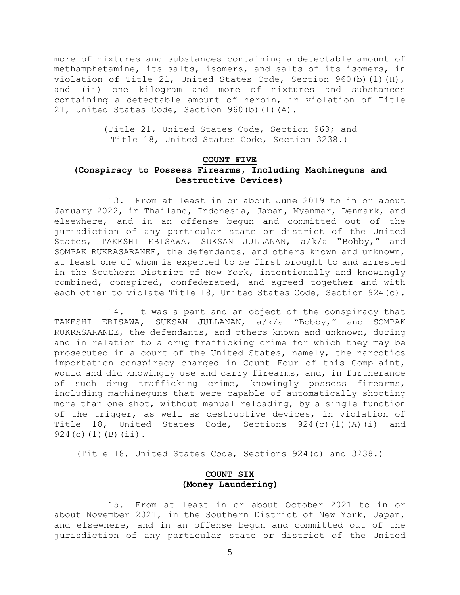more of mixtures and substances containing a detectable amount of methamphetamine, its salts, isomers, and salts of its isomers, in violation of Title 21, United States Code, Section 960(b)(1)(H), and (ii) one kilogram and more of mixtures and substances containing a detectable amount of heroin, in violation of Title 21, United States Code, Section 960(b)(1)(A).

> (Title 21, United States Code, Section 963; and Title 18, United States Code, Section 3238.)

## **COUNT FIVE (Conspiracy to Possess Firearms, Including Machineguns and Destructive Devices)**

13. From at least in or about June 2019 to in or about January 2022, in Thailand, Indonesia, Japan, Myanmar, Denmark, and elsewhere, and in an offense begun and committed out of the jurisdiction of any particular state or district of the United States, TAKESHI EBISAWA, SUKSAN JULLANAN, a/k/a "Bobby," and SOMPAK RUKRASARANEE, the defendants, and others known and unknown, at least one of whom is expected to be first brought to and arrested in the Southern District of New York, intentionally and knowingly combined, conspired, confederated, and agreed together and with each other to violate Title 18, United States Code, Section 924(c).

14. It was a part and an object of the conspiracy that TAKESHI EBISAWA, SUKSAN JULLANAN, a/k/a "Bobby," and SOMPAK RUKRASARANEE, the defendants, and others known and unknown, during and in relation to a drug trafficking crime for which they may be prosecuted in a court of the United States, namely, the narcotics importation conspiracy charged in Count Four of this Complaint, would and did knowingly use and carry firearms, and, in furtherance of such drug trafficking crime, knowingly possess firearms, including machineguns that were capable of automatically shooting more than one shot, without manual reloading, by a single function of the trigger, as well as destructive devices, in violation of Title 18, United States Code, Sections 924(c)(1)(A)(i) and  $924(c)(1)(B)(ii)$ .

(Title 18, United States Code, Sections 924(o) and 3238.)

## **COUNT SIX (Money Laundering)**

15. From at least in or about October 2021 to in or about November 2021, in the Southern District of New York, Japan, and elsewhere, and in an offense begun and committed out of the jurisdiction of any particular state or district of the United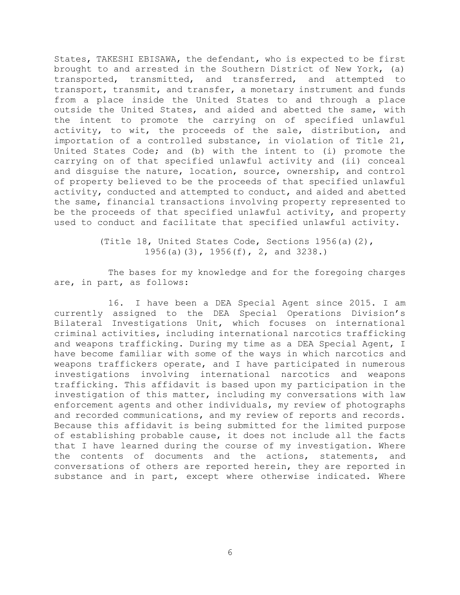States, TAKESHI EBISAWA, the defendant, who is expected to be first brought to and arrested in the Southern District of New York, (a) transported, transmitted, and transferred, and attempted to transport, transmit, and transfer, a monetary instrument and funds from a place inside the United States to and through a place outside the United States, and aided and abetted the same, with the intent to promote the carrying on of specified unlawful activity, to wit, the proceeds of the sale, distribution, and importation of a controlled substance, in violation of Title 21, United States Code; and (b) with the intent to (i) promote the carrying on of that specified unlawful activity and (ii) conceal and disguise the nature, location, source, ownership, and control of property believed to be the proceeds of that specified unlawful activity, conducted and attempted to conduct, and aided and abetted the same, financial transactions involving property represented to be the proceeds of that specified unlawful activity, and property used to conduct and facilitate that specified unlawful activity.

> (Title 18, United States Code, Sections 1956(a)(2), 1956(a)(3), 1956(f), 2, and 3238.)

The bases for my knowledge and for the foregoing charges are, in part, as follows:

16. I have been a DEA Special Agent since 2015. I am currently assigned to the DEA Special Operations Division's Bilateral Investigations Unit, which focuses on international criminal activities, including international narcotics trafficking and weapons trafficking. During my time as a DEA Special Agent, I have become familiar with some of the ways in which narcotics and weapons traffickers operate, and I have participated in numerous investigations involving international narcotics and weapons trafficking. This affidavit is based upon my participation in the investigation of this matter, including my conversations with law enforcement agents and other individuals, my review of photographs and recorded communications, and my review of reports and records. Because this affidavit is being submitted for the limited purpose of establishing probable cause, it does not include all the facts that I have learned during the course of my investigation. Where the contents of documents and the actions, statements, and conversations of others are reported herein, they are reported in substance and in part, except where otherwise indicated. Where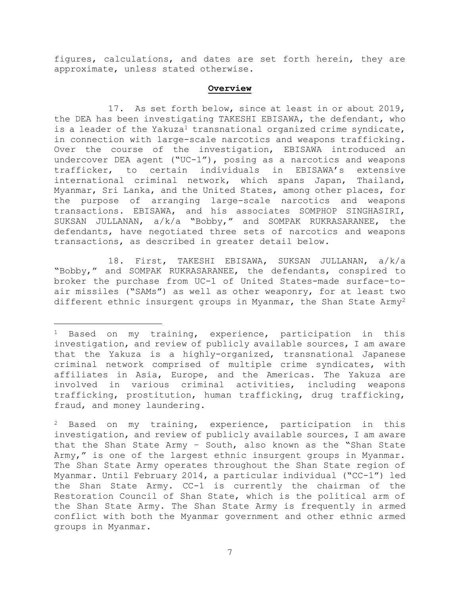figures, calculations, and dates are set forth herein, they are approximate, unless stated otherwise.

#### <span id="page-6-0"></span>**Overview**

17. As set forth below, since at least in or about 2019, the DEA has been investigating TAKESHI EBISAWA, the defendant, who is a leader of the Yakuza<sup>1</sup> transnational organized crime syndicate, in connection with large-scale narcotics and weapons trafficking. Over the course of the investigation, EBISAWA introduced an undercover DEA agent ("UC-1"), posing as a narcotics and weapons trafficker, to certain individuals in EBISAWA's extensive international criminal network, which spans Japan, Thailand, Myanmar, Sri Lanka, and the United States, among other places, for the purpose of arranging large-scale narcotics and weapons transactions. EBISAWA, and his associates SOMPHOP SINGHASIRI, SUKSAN JULLANAN, a/k/a "Bobby," and SOMPAK RUKRASARANEE, the defendants, have negotiated three sets of narcotics and weapons transactions, as described in greater detail below.

18. First, TAKESHI EBISAWA, SUKSAN JULLANAN, a/k/a "Bobby," and SOMPAK RUKRASARANEE, the defendants, conspired to broker the purchase from UC-1 of United States-made surface-toair missiles ("SAMs") as well as other weaponry, for at least two different ethnic insurgent groups in Myanmar, the Shan State Army<sup>2</sup>

<sup>1</sup> Based on my training, experience, participation in this investigation, and review of publicly available sources, I am aware that the Yakuza is a highly-organized, transnational Japanese criminal network comprised of multiple crime syndicates, with affiliates in Asia, Europe, and the Americas. The Yakuza are involved in various criminal activities, including weapons trafficking, prostitution, human trafficking, drug trafficking, fraud, and money laundering.

 $2$  Based on my training, experience, participation in this investigation, and review of publicly available sources, I am aware that the Shan State Army – South, also known as the "Shan State Army," is one of the largest ethnic insurgent groups in Myanmar. The Shan State Army operates throughout the Shan State region of Myanmar. Until February 2014, a particular individual ("CC-1") led the Shan State Army. CC-1 is currently the chairman of the Restoration Council of Shan State, which is the political arm of the Shan State Army. The Shan State Army is frequently in armed conflict with both the Myanmar government and other ethnic armed groups in Myanmar.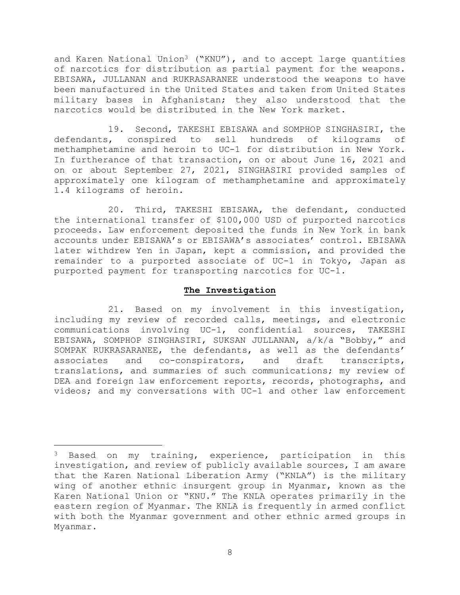and Karen National Union<sup>3</sup> ("KNU"), and to accept large quantities of narcotics for distribution as partial payment for the weapons. EBISAWA, JULLANAN and RUKRASARANEE understood the weapons to have been manufactured in the United States and taken from United States military bases in Afghanistan; they also understood that the narcotics would be distributed in the New York market.

19. Second, TAKESHI EBISAWA and SOMPHOP SINGHASIRI, the defendants, conspired to sell hundreds of kilograms of methamphetamine and heroin to UC-1 for distribution in New York. In furtherance of that transaction, on or about June 16, 2021 and on or about September 27, 2021, SINGHASIRI provided samples of approximately one kilogram of methamphetamine and approximately 1.4 kilograms of heroin.

20. Third, TAKESHI EBISAWA, the defendant, conducted the international transfer of \$100,000 USD of purported narcotics proceeds. Law enforcement deposited the funds in New York in bank accounts under EBISAWA's or EBISAWA's associates' control. EBISAWA later withdrew Yen in Japan, kept a commission, and provided the remainder to a purported associate of UC-1 in Tokyo, Japan as purported payment for transporting narcotics for UC-1.

## **The Investigation**

21. Based on my involvement in this investigation, including my review of recorded calls, meetings, and electronic communications involving UC-1, confidential sources, TAKESHI EBISAWA, SOMPHOP SINGHASIRI, SUKSAN JULLANAN, a/k/a "Bobby," and SOMPAK RUKRASARANEE, the defendants, as well as the defendants' associates and co-conspirators, and draft transcripts, translations, and summaries of such communications; my review of DEA and foreign law enforcement reports, records, photographs, and videos; and my conversations with UC-1 and other law enforcement

<sup>&</sup>lt;sup>3</sup> Based on my training, experience, participation in this investigation, and review of publicly available sources, I am aware that the Karen National Liberation Army ("KNLA") is the military wing of another ethnic insurgent group in Myanmar, known as the Karen National Union or "KNU." The KNLA operates primarily in the eastern region of Myanmar. The KNLA is frequently in armed conflict with both the Myanmar government and other ethnic armed groups in Myanmar.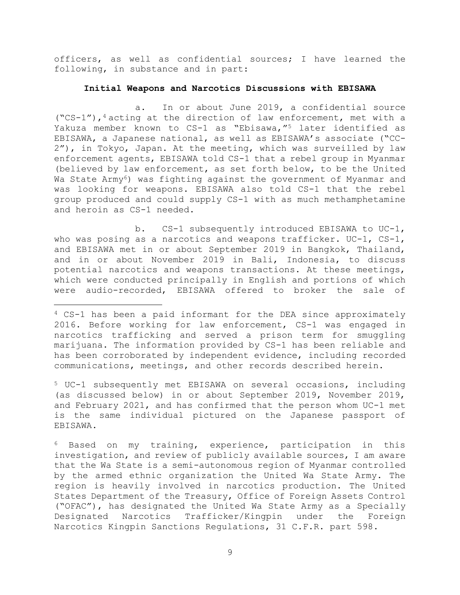officers, as well as confidential sources; I have learned the following, in substance and in part:

#### **Initial Weapons and Narcotics Discussions with EBISAWA**

a. In or about June 2019, a confidential source  $($ "CS-1"),<sup>4</sup> acting at the direction of law enforcement, met with a Yakuza member known to CS-1 as "Ebisawa,"<sup>5</sup> later identified as EBISAWA, a Japanese national, as well as EBISAWA's associate ("CC-2"), in Tokyo, Japan. At the meeting, which was surveilled by law enforcement agents, EBISAWA told CS-1 that a rebel group in Myanmar (believed by law enforcement, as set forth below, to be the United Wa State Army<sup>6</sup>) was fighting against the government of Myanmar and was looking for weapons. EBISAWA also told CS-1 that the rebel group produced and could supply CS-1 with as much methamphetamine and heroin as CS-1 needed.

b. CS-1 subsequently introduced EBISAWA to UC-1, who was posing as a narcotics and weapons trafficker.  $UC-1$ ,  $CS-1$ , and EBISAWA met in or about September 2019 in Bangkok, Thailand, and in or about November 2019 in Bali, Indonesia, to discuss potential narcotics and weapons transactions. At these meetings, which were conducted principally in English and portions of which were audio-recorded, EBISAWA offered to broker the sale of

<sup>5</sup> UC-1 subsequently met EBISAWA on several occasions, including (as discussed below) in or about September 2019, November 2019, and February 2021, and has confirmed that the person whom UC-1 met is the same individual pictured on the Japanese passport of EBISAWA.

<sup>6</sup> Based on my training, experience, participation in this investigation, and review of publicly available sources, I am aware that the Wa State is a semi-autonomous region of Myanmar controlled by the armed ethnic organization the United Wa State Army. The region is heavily involved in narcotics production. The United States Department of the Treasury, Office of Foreign Assets Control ("OFAC"), has designated the United Wa State Army as a Specially Designated Narcotics Trafficker/Kingpin under the Foreign Narcotics Kingpin Sanctions Regulations, 31 C.F.R. part 598.

<sup>4</sup> CS-1 has been a paid informant for the DEA since approximately 2016. Before working for law enforcement, CS-1 was engaged in narcotics trafficking and served a prison term for smuggling marijuana. The information provided by CS-1 has been reliable and has been corroborated by independent evidence, including recorded communications, meetings, and other records described herein.

<sup>9</sup>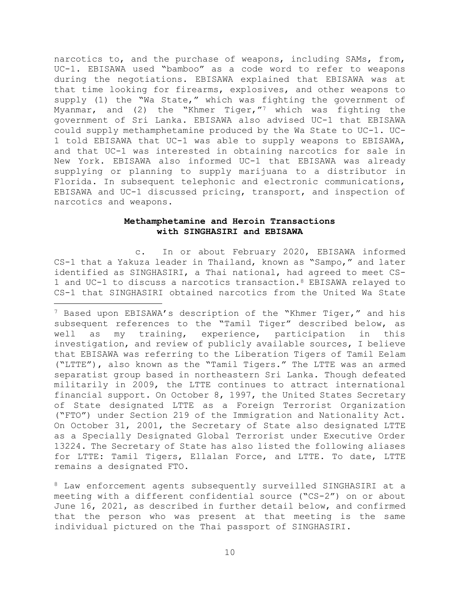narcotics to, and the purchase of weapons, including SAMs, from, UC-1. EBISAWA used "bamboo" as a code word to refer to weapons during the negotiations. EBISAWA explained that EBISAWA was at that time looking for firearms, explosives, and other weapons to supply (1) the "Wa State," which was fighting the government of Myanmar, and  $(2)$  the "Khmer Tiger,"<sup>7</sup> which was fighting the government of Sri Lanka. EBISAWA also advised UC-1 that EBISAWA could supply methamphetamine produced by the Wa State to UC-1. UC-1 told EBISAWA that UC-1 was able to supply weapons to EBISAWA, and that UC-1 was interested in obtaining narcotics for sale in New York. EBISAWA also informed UC-1 that EBISAWA was already supplying or planning to supply marijuana to a distributor in Florida. In subsequent telephonic and electronic communications, EBISAWA and UC-1 discussed pricing, transport, and inspection of narcotics and weapons.

## **Methamphetamine and Heroin Transactions with SINGHASIRI and EBISAWA**

c. In or about February 2020, EBISAWA informed CS-1 that a Yakuza leader in Thailand, known as "Sampo," and later identified as SINGHASIRI, a Thai national, had agreed to meet CS-1 and UC-1 to discuss a narcotics transaction.<sup>8</sup> EBISAWA relayed to CS-1 that SINGHASIRI obtained narcotics from the United Wa State

<sup>7</sup> Based upon EBISAWA's description of the "Khmer Tiger," and his subsequent references to the "Tamil Tiger" described below, as well as my training, experience, participation in this investigation, and review of publicly available sources, I believe that EBISAWA was referring to the Liberation Tigers of Tamil Eelam ("LTTE"), also known as the "Tamil Tigers." The LTTE was an armed separatist group based in northeastern Sri Lanka. Though defeated militarily in 2009, the LTTE continues to attract international financial support. On October 8, 1997, the United States Secretary of State designated LTTE as a Foreign Terrorist Organization ("FTO") under Section 219 of the Immigration and Nationality Act. On October 31, 2001, the Secretary of State also designated LTTE as a Specially Designated Global Terrorist under Executive Order 13224. The Secretary of State has also listed the following aliases for LTTE: Tamil Tigers, Ellalan Force, and LTTE. To date, LTTE remains a designated FTO.

<sup>8</sup> Law enforcement agents subsequently surveilled SINGHASIRI at a meeting with a different confidential source ("CS-2") on or about June 16, 2021, as described in further detail below, and confirmed that the person who was present at that meeting is the same individual pictured on the Thai passport of SINGHASIRI.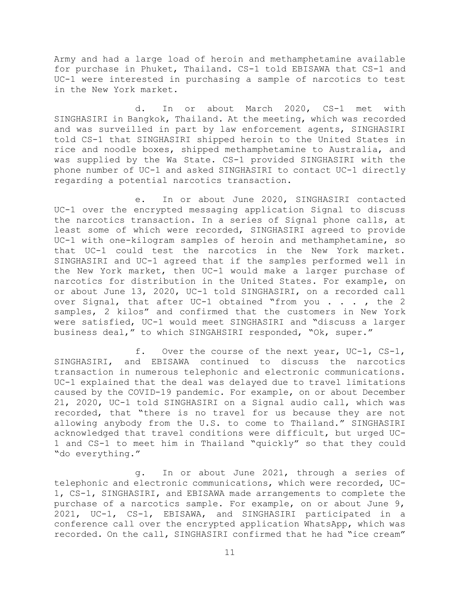Army and had a large load of heroin and methamphetamine available for purchase in Phuket, Thailand. CS-1 told EBISAWA that CS-1 and UC-1 were interested in purchasing a sample of narcotics to test in the New York market.

d. In or about March 2020, CS-1 met with SINGHASIRI in Bangkok, Thailand. At the meeting, which was recorded and was surveilled in part by law enforcement agents, SINGHASIRI told CS-1 that SINGHASIRI shipped heroin to the United States in rice and noodle boxes, shipped methamphetamine to Australia, and was supplied by the Wa State. CS-1 provided SINGHASIRI with the phone number of UC-1 and asked SINGHASIRI to contact UC-1 directly regarding a potential narcotics transaction.

e. In or about June 2020, SINGHASIRI contacted UC-1 over the encrypted messaging application Signal to discuss the narcotics transaction. In a series of Signal phone calls, at least some of which were recorded, SINGHASIRI agreed to provide UC-1 with one-kilogram samples of heroin and methamphetamine, so that UC-1 could test the narcotics in the New York market. SINGHASIRI and UC-1 agreed that if the samples performed well in the New York market, then UC-1 would make a larger purchase of narcotics for distribution in the United States. For example, on or about June 13, 2020, UC-1 told SINGHASIRI, on a recorded call over Signal, that after UC-1 obtained "from you . . . , the 2 samples, 2 kilos" and confirmed that the customers in New York were satisfied, UC-1 would meet SINGHASIRI and "discuss a larger business deal," to which SINGAHSIRI responded, "Ok, super."

f. Over the course of the next year, UC-1, CS-1, SINGHASIRI, and EBISAWA continued to discuss the narcotics transaction in numerous telephonic and electronic communications. UC-1 explained that the deal was delayed due to travel limitations caused by the COVID-19 pandemic. For example, on or about December 21, 2020, UC-1 told SINGHASIRI on a Signal audio call, which was recorded, that "there is no travel for us because they are not allowing anybody from the U.S. to come to Thailand." SINGHASIRI acknowledged that travel conditions were difficult, but urged UC-1 and CS-1 to meet him in Thailand "quickly" so that they could "do everything."

g. In or about June 2021, through a series of telephonic and electronic communications, which were recorded, UC-1, CS-1, SINGHASIRI, and EBISAWA made arrangements to complete the purchase of a narcotics sample. For example, on or about June 9, 2021, UC-1, CS-1, EBISAWA, and SINGHASIRI participated in a conference call over the encrypted application WhatsApp, which was recorded. On the call, SINGHASIRI confirmed that he had "ice cream"

11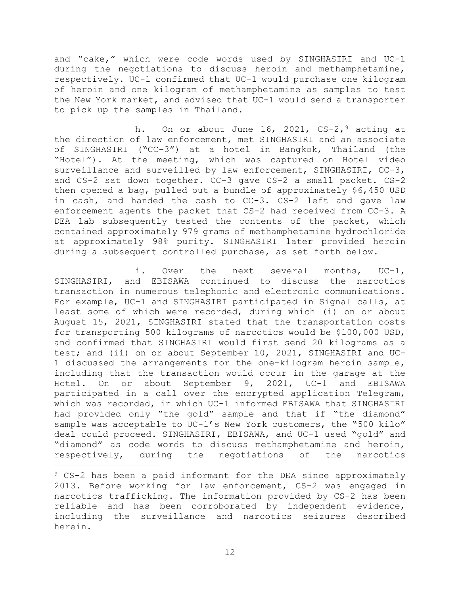and "cake," which were code words used by SINGHASIRI and UC-1 during the negotiations to discuss heroin and methamphetamine, respectively. UC-1 confirmed that UC-1 would purchase one kilogram of heroin and one kilogram of methamphetamine as samples to test the New York market, and advised that UC-1 would send a transporter to pick up the samples in Thailand.

h. On or about June 16, 2021,  $CS-2,$ <sup>9</sup> acting at the direction of law enforcement, met SINGHASIRI and an associate of SINGHASIRI ("CC-3") at a hotel in Bangkok, Thailand (the "Hotel"). At the meeting, which was captured on Hotel video surveillance and surveilled by law enforcement, SINGHASIRI, CC-3, and CS-2 sat down together. CC-3 gave CS-2 a small packet. CS-2 then opened a bag, pulled out a bundle of approximately \$6,450 USD in cash, and handed the cash to CC-3. CS-2 left and gave law enforcement agents the packet that CS-2 had received from CC-3. A DEA lab subsequently tested the contents of the packet, which contained approximately 979 grams of methamphetamine hydrochloride at approximately 98% purity. SINGHASIRI later provided heroin during a subsequent controlled purchase, as set forth below.

i. Over the next several months, UC-1, SINGHASIRI, and EBISAWA continued to discuss the narcotics transaction in numerous telephonic and electronic communications. For example, UC-1 and SINGHASIRI participated in Signal calls, at least some of which were recorded, during which (i) on or about August 15, 2021, SINGHASIRI stated that the transportation costs for transporting 500 kilograms of narcotics would be \$100,000 USD, and confirmed that SINGHASIRI would first send 20 kilograms as a test; and (ii) on or about September 10, 2021, SINGHASIRI and UC-1 discussed the arrangements for the one-kilogram heroin sample, including that the transaction would occur in the garage at the Hotel. On or about September 9, 2021, UC-1 and EBISAWA participated in a call over the encrypted application Telegram, which was recorded, in which UC-1 informed EBISAWA that SINGHASIRI had provided only "the gold" sample and that if "the diamond" sample was acceptable to UC-1's New York customers, the "500 kilo" deal could proceed. SINGHASIRI, EBISAWA, and UC-1 used "gold" and "diamond" as code words to discuss methamphetamine and heroin, respectively, during the negotiations of the narcotics

<sup>9</sup> CS-2 has been a paid informant for the DEA since approximately 2013. Before working for law enforcement, CS-2 was engaged in narcotics trafficking. The information provided by CS-2 has been reliable and has been corroborated by independent evidence, including the surveillance and narcotics seizures described herein.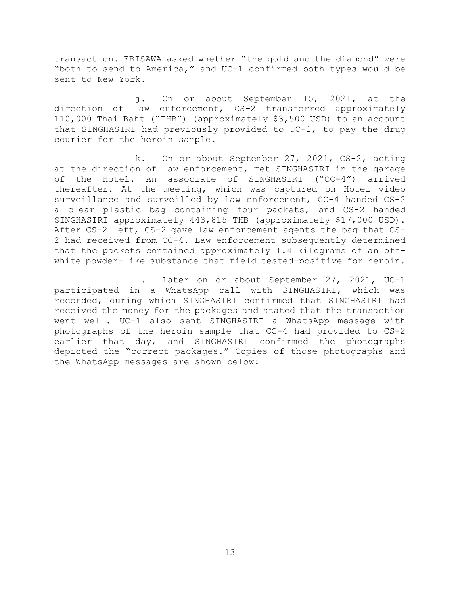transaction. EBISAWA asked whether "the gold and the diamond" were "both to send to America," and UC-1 confirmed both types would be sent to New York.

j. On or about September 15, 2021, at the direction of law enforcement, CS-2 transferred approximately 110,000 Thai Baht ("THB") (approximately \$3,500 USD) to an account that SINGHASIRI had previously provided to UC-1, to pay the drug courier for the heroin sample.

k. On or about September 27, 2021, CS-2, acting at the direction of law enforcement, met SINGHASIRI in the garage of the Hotel. An associate of SINGHASIRI ("CC-4") arrived thereafter. At the meeting, which was captured on Hotel video surveillance and surveilled by law enforcement, CC-4 handed CS-2 a clear plastic bag containing four packets, and CS-2 handed SINGHASIRI approximately 443,815 THB (approximately \$17,000 USD). After CS-2 left, CS-2 gave law enforcement agents the bag that CS-2 had received from CC-4. Law enforcement subsequently determined that the packets contained approximately 1.4 kilograms of an offwhite powder-like substance that field tested-positive for heroin.

l. Later on or about September 27, 2021, UC-1 participated in a WhatsApp call with SINGHASIRI, which was recorded, during which SINGHASIRI confirmed that SINGHASIRI had received the money for the packages and stated that the transaction went well. UC-1 also sent SINGHASIRI a WhatsApp message with photographs of the heroin sample that CC-4 had provided to CS-2 earlier that day, and SINGHASIRI confirmed the photographs depicted the "correct packages." Copies of those photographs and the WhatsApp messages are shown below: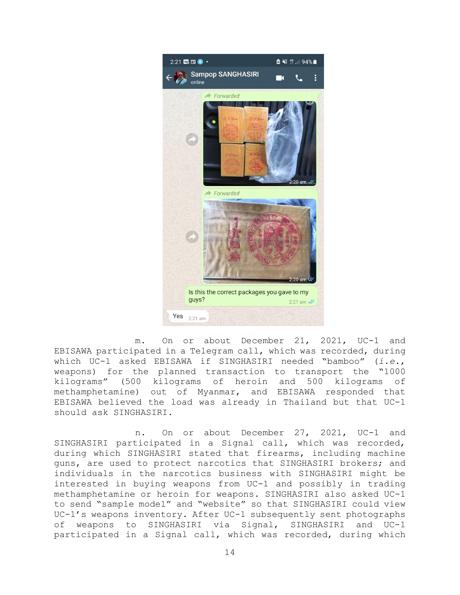

m. On or about December 21, 2021, UC-1 and EBISAWA participated in a Telegram call, which was recorded, during which UC-1 asked EBISAWA if SINGHASIRI needed "bamboo" (*i.e.*, weapons) for the planned transaction to transport the "1000 kilograms" (500 kilograms of heroin and 500 kilograms of methamphetamine) out of Myanmar, and EBISAWA responded that EBISAWA believed the load was already in Thailand but that UC-1 should ask SINGHASIRI.

n. On or about December 27, 2021, UC-1 and SINGHASIRI participated in a Signal call, which was recorded, during which SINGHASIRI stated that firearms, including machine guns, are used to protect narcotics that SINGHASIRI brokers; and individuals in the narcotics business with SINGHASIRI might be interested in buying weapons from UC-1 and possibly in trading methamphetamine or heroin for weapons. SINGHASIRI also asked UC-1 to send "sample model" and "website" so that SINGHASIRI could view UC-1's weapons inventory. After UC-1 subsequently sent photographs of weapons to SINGHASIRI via Signal, SINGHASIRI and UC-1 participated in a Signal call, which was recorded, during which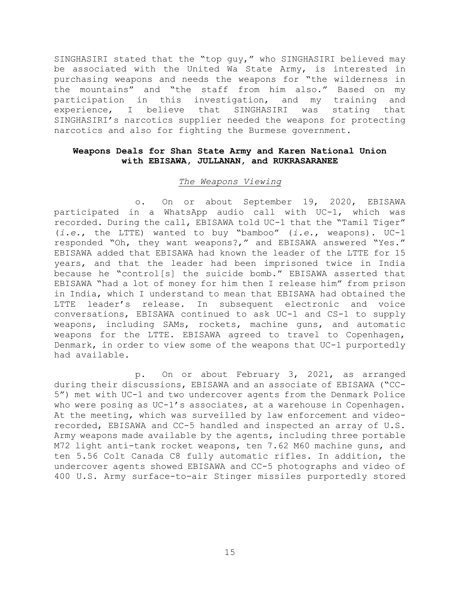SINGHASIRI stated that the "top guy," who SINGHASIRI believed may be associated with the United Wa State Army, is interested in purchasing weapons and needs the weapons for "the wilderness in the mountains" and "the staff from him also." Based on my participation in this investigation, and my training and experience, I believe that SINGHASIRI was stating that SINGHASIRI's narcotics supplier needed the weapons for protecting narcotics and also for fighting the Burmese government.

## **Weapons Deals for Shan State Army and Karen National Union with EBISAWA, JULLANAN, and RUKRASARANEE**

#### *The Weapons Viewing*

o. On or about September 19, 2020, EBISAWA participated in a WhatsApp audio call with UC-1, which was recorded. During the call, EBISAWA told UC-1 that the "Tamil Tiger" (*i.e.*, the LTTE) wanted to buy "bamboo" (*i.e.*, weapons). UC-1 responded "Oh, they want weapons?," and EBISAWA answered "Yes." EBISAWA added that EBISAWA had known the leader of the LTTE for 15 years, and that the leader had been imprisoned twice in India because he "control[s] the suicide bomb." EBISAWA asserted that EBISAWA "had a lot of money for him then I release him" from prison in India, which I understand to mean that EBISAWA had obtained the LTTE leader's release. In subsequent electronic and voice conversations, EBISAWA continued to ask UC-1 and CS-1 to supply weapons, including SAMs, rockets, machine guns, and automatic weapons for the LTTE. EBISAWA agreed to travel to Copenhagen, Denmark, in order to view some of the weapons that UC-1 purportedly had available.

p. On or about February 3, 2021, as arranged during their discussions, EBISAWA and an associate of EBISAWA ("CC-5") met with UC-1 and two undercover agents from the Denmark Police who were posing as UC-1's associates, at a warehouse in Copenhagen. At the meeting, which was surveilled by law enforcement and videorecorded, EBISAWA and CC-5 handled and inspected an array of U.S. Army weapons made available by the agents, including three portable M72 light anti-tank rocket weapons, ten 7.62 M60 machine guns, and ten 5.56 Colt Canada C8 fully automatic rifles. In addition, the undercover agents showed EBISAWA and CC-5 photographs and video of 400 U.S. Army surface-to-air Stinger missiles purportedly stored

15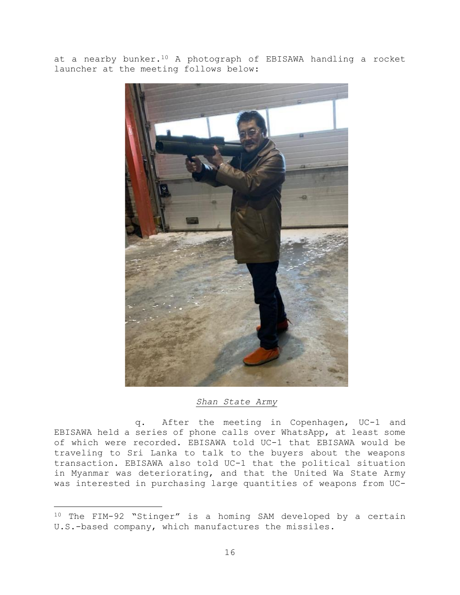at a nearby bunker.<sup>10</sup> A photograph of EBISAWA handling a rocket launcher at the meeting follows below:



#### *Shan State Army*

q. After the meeting in Copenhagen, UC-1 and EBISAWA held a series of phone calls over WhatsApp, at least some of which were recorded. EBISAWA told UC-1 that EBISAWA would be traveling to Sri Lanka to talk to the buyers about the weapons transaction. EBISAWA also told UC-1 that the political situation in Myanmar was deteriorating, and that the United Wa State Army was interested in purchasing large quantities of weapons from UC-

<sup>10</sup> The FIM-92 "Stinger" is a homing SAM developed by a certain U.S.-based company, which manufactures the missiles.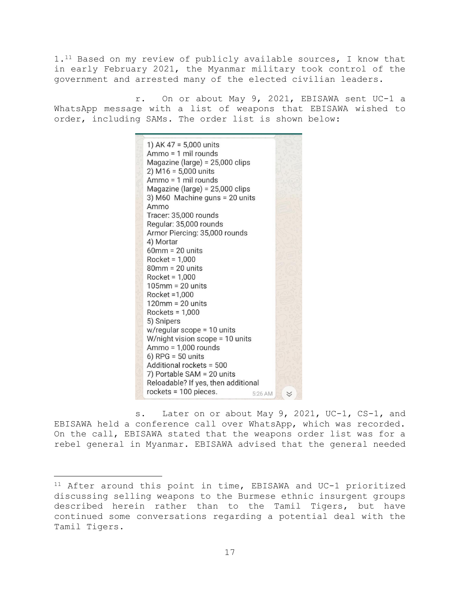1.<sup>11</sup> Based on my review of publicly available sources, I know that in early February 2021, the Myanmar military took control of the government and arrested many of the elected civilian leaders.

r. On or about May 9, 2021, EBISAWA sent UC-1 a WhatsApp message with a list of weapons that EBISAWA wished to order, including SAMs. The order list is shown below:



s. Later on or about May 9, 2021, UC-1, CS-1, and EBISAWA held a conference call over WhatsApp, which was recorded. On the call, EBISAWA stated that the weapons order list was for a rebel general in Myanmar. EBISAWA advised that the general needed

<sup>11</sup> After around this point in time, EBISAWA and UC-1 prioritized discussing selling weapons to the Burmese ethnic insurgent groups described herein rather than to the Tamil Tigers, but have continued some conversations regarding a potential deal with the Tamil Tigers.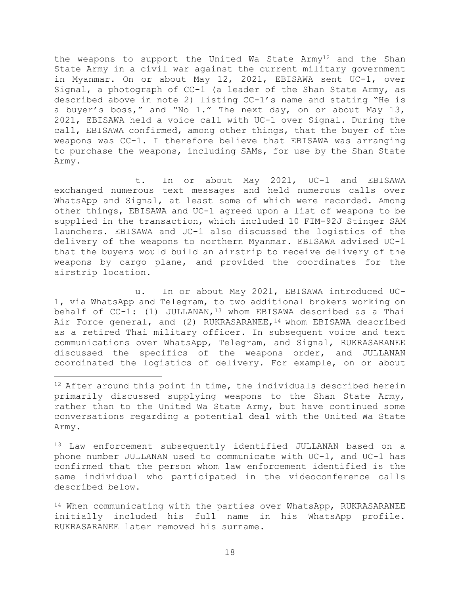the weapons to support the United Wa State  $A$ rmy<sup>12</sup> and the Shan State Army in a civil war against the current military government in Myanmar. On or about May 12, 2021, EBISAWA sent UC-1, over Signal, a photograph of CC-1 (a leader of the Shan State Army, as described above in note [2\)](#page-6-0) listing CC-1's name and stating "He is a buyer's boss," and "No 1." The next day, on or about May 13, 2021, EBISAWA held a voice call with UC-1 over Signal. During the call, EBISAWA confirmed, among other things, that the buyer of the weapons was CC-1. I therefore believe that EBISAWA was arranging to purchase the weapons, including SAMs, for use by the Shan State Army.

t. In or about May 2021, UC-1 and EBISAWA exchanged numerous text messages and held numerous calls over WhatsApp and Signal, at least some of which were recorded. Among other things, EBISAWA and UC-1 agreed upon a list of weapons to be supplied in the transaction, which included 10 FIM-92J Stinger SAM launchers. EBISAWA and UC-1 also discussed the logistics of the delivery of the weapons to northern Myanmar. EBISAWA advised UC-1 that the buyers would build an airstrip to receive delivery of the weapons by cargo plane, and provided the coordinates for the airstrip location.

u. In or about May 2021, EBISAWA introduced UC-1, via WhatsApp and Telegram, to two additional brokers working on behalf of  $CC-1$ : (1) JULLANAN,<sup>13</sup> whom EBISAWA described as a Thai Air Force general, and (2) RUKRASARANEE, <sup>14</sup> whom EBISAWA described as a retired Thai military officer. In subsequent voice and text communications over WhatsApp, Telegram, and Signal, RUKRASARANEE discussed the specifics of the weapons order, and JULLANAN coordinated the logistics of delivery. For example, on or about

<sup>13</sup> Law enforcement subsequently identified JULLANAN based on a phone number JULLANAN used to communicate with UC-1, and UC-1 has confirmed that the person whom law enforcement identified is the same individual who participated in the videoconference calls described below.

<sup>14</sup> When communicating with the parties over WhatsApp, RUKRASARANEE initially included his full name in his WhatsApp profile. RUKRASARANEE later removed his surname.

 $12$  After around this point in time, the individuals described herein primarily discussed supplying weapons to the Shan State Army, rather than to the United Wa State Army, but have continued some conversations regarding a potential deal with the United Wa State Army.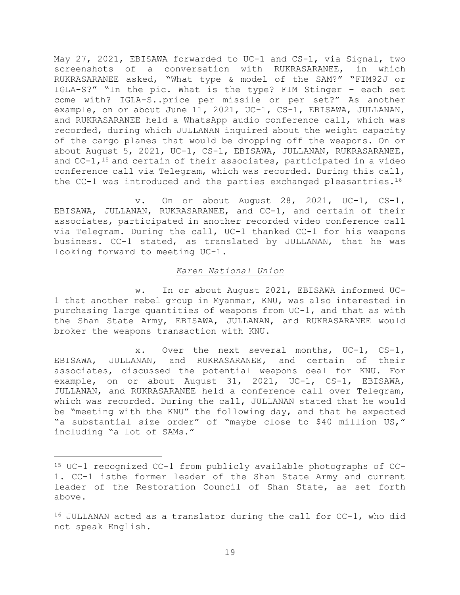May 27, 2021, EBISAWA forwarded to UC-1 and CS-1, via Signal, two screenshots of a conversation with RUKRASARANEE, in which RUKRASARANEE asked, "What type & model of the SAM?" "FIM92J or IGLA-S?" "In the pic. What is the type? FIM Stinger – each set come with? IGLA-S..price per missile or per set?" As another example, on or about June 11, 2021, UC-1, CS-1, EBISAWA, JULLANAN, and RUKRASARANEE held a WhatsApp audio conference call, which was recorded, during which JULLANAN inquired about the weight capacity of the cargo planes that would be dropping off the weapons. On or about August 5, 2021, UC-1, CS-1, EBISAWA, JULLANAN, RUKRASARANEE, and  $CC-1$ ,  $^{15}$  and certain of their associates, participated in a video conference call via Telegram, which was recorded. During this call, the CC-1 was introduced and the parties exchanged pleasantries.<sup>16</sup>

v. On or about August 28, 2021, UC-1, CS-1, EBISAWA, JULLANAN, RUKRASARANEE, and CC-1, and certain of their associates, participated in another recorded video conference call via Telegram. During the call, UC-1 thanked CC-1 for his weapons business. CC-1 stated, as translated by JULLANAN, that he was looking forward to meeting UC-1.

## *Karen National Union*

w. In or about August 2021, EBISAWA informed UC-1 that another rebel group in Myanmar, KNU, was also interested in purchasing large quantities of weapons from UC-1, and that as with the Shan State Army, EBISAWA, JULLANAN, and RUKRASARANEE would broker the weapons transaction with KNU.

x. Over the next several months, UC-1, CS-1, EBISAWA, JULLANAN, and RUKRASARANEE, and certain of their associates, discussed the potential weapons deal for KNU. For example, on or about August 31, 2021, UC-1, CS-1, EBISAWA, JULLANAN, and RUKRASARANEE held a conference call over Telegram, which was recorded. During the call, JULLANAN stated that he would be "meeting with the KNU" the following day, and that he expected "a substantial size order" of "maybe close to \$40 million US," including "a lot of SAMs."

<sup>15</sup> UC-1 recognized CC-1 from publicly available photographs of CC-1. CC-1 isthe former leader of the Shan State Army and current leader of the Restoration Council of Shan State, as set forth above.

<sup>16</sup> JULLANAN acted as a translator during the call for CC-1, who did not speak English.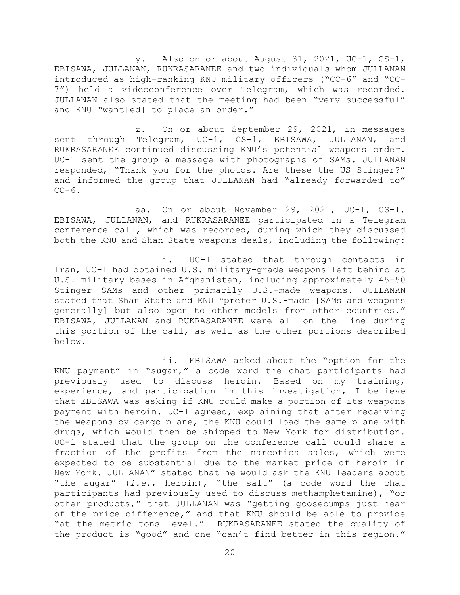y. Also on or about August 31, 2021, UC-1, CS-1, EBISAWA, JULLANAN, RUKRASARANEE and two individuals whom JULLANAN introduced as high-ranking KNU military officers ("CC-6" and "CC-7") held a videoconference over Telegram, which was recorded. JULLANAN also stated that the meeting had been "very successful" and KNU "want[ed] to place an order."

z. On or about September 29, 2021, in messages sent through Telegram, UC-1, CS-1, EBISAWA, JULLANAN, and RUKRASARANEE continued discussing KNU's potential weapons order. UC-1 sent the group a message with photographs of SAMs. JULLANAN responded, "Thank you for the photos. Are these the US Stinger?" and informed the group that JULLANAN had "already forwarded to"  $CC-6$ .

aa. On or about November 29, 2021, UC-1, CS-1, EBISAWA, JULLANAN, and RUKRASARANEE participated in a Telegram conference call, which was recorded, during which they discussed both the KNU and Shan State weapons deals, including the following:

i. UC-1 stated that through contacts in Iran, UC-1 had obtained U.S. military-grade weapons left behind at U.S. military bases in Afghanistan, including approximately 45-50 Stinger SAMs and other primarily U.S.-made weapons. JULLANAN stated that Shan State and KNU "prefer U.S.-made [SAMs and weapons generally] but also open to other models from other countries." EBISAWA, JULLANAN and RUKRASARANEE were all on the line during this portion of the call, as well as the other portions described below.

ii. EBISAWA asked about the "option for the KNU payment" in "sugar," a code word the chat participants had previously used to discuss heroin. Based on my training, experience, and participation in this investigation, I believe that EBISAWA was asking if KNU could make a portion of its weapons payment with heroin. UC-1 agreed, explaining that after receiving the weapons by cargo plane, the KNU could load the same plane with drugs, which would then be shipped to New York for distribution. UC-1 stated that the group on the conference call could share a fraction of the profits from the narcotics sales, which were expected to be substantial due to the market price of heroin in New York. JULLANAN" stated that he would ask the KNU leaders about "the sugar" (*i.e.*, heroin), "the salt" (a code word the chat participants had previously used to discuss methamphetamine), "or other products," that JULLANAN was "getting goosebumps just hear of the price difference," and that KNU should be able to provide "at the metric tons level." RUKRASARANEE stated the quality of the product is "good" and one "can't find better in this region."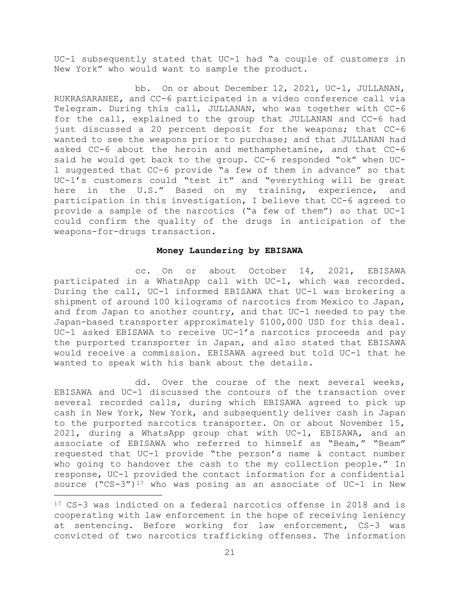UC-1 subsequently stated that UC-1 had "a couple of customers in New York" who would want to sample the product.

bb. On or about December 12, 2021, UC-1, JULLANAN, RUKRASARANEE, and CC-6 participated in a video conference call via Telegram. During this call, JULLANAN, who was together with CC-6 for the call, explained to the group that JULLANAN and CC-6 had just discussed a 20 percent deposit for the weapons; that CC-6 wanted to see the weapons prior to purchase; and that JULLANAN had asked CC-6 about the heroin and methamphetamine, and that CC-6 said he would get back to the group. CC-6 responded "ok" when UC-1 suggested that CC-6 provide "a few of them in advance" so that UC-1's customers could "test it" and "everything will be great here in the U.S." Based on my training, experience, and participation in this investigation, I believe that CC-6 agreed to provide a sample of the narcotics ("a few of them") so that UC-1 could confirm the quality of the drugs in anticipation of the weapons-for-drugs transaction.

#### **Money Laundering by EBISAWA**

cc. On or about October 14, 2021, EBISAWA participated in a WhatsApp call with UC-1, which was recorded. During the call, UC-1 informed EBISAWA that UC-1 was brokering a shipment of around 100 kilograms of narcotics from Mexico to Japan, and from Japan to another country, and that UC-1 needed to pay the Japan-based transporter approximately \$100,000 USD for this deal. UC-1 asked EBISAWA to receive UC-1's narcotics proceeds and pay the purported transporter in Japan, and also stated that EBISAWA would receive a commission. EBISAWA agreed but told UC-1 that he wanted to speak with his bank about the details.

dd. Over the course of the next several weeks, EBISAWA and UC-1 discussed the contours of the transaction over several recorded calls, during which EBISAWA agreed to pick up cash in New York, New York, and subsequently deliver cash in Japan to the purported narcotics transporter. On or about November 15, 2021, during a WhatsApp group chat with UC-1, EBISAWA, and an associate of EBISAWA who referred to himself as "Beam," "Beam" requested that UC-1 provide "the person's name & contact number who going to handover the cash to the my collection people." In response, UC-1 provided the contact information for a confidential source ("CS-3")<sup>17</sup> who was posing as an associate of UC-1 in New

<sup>17</sup> CS-3 was indicted on a federal narcotics offense in 2018 and is cooperating with law enforcement in the hope of receiving leniency at sentencing. Before working for law enforcement, CS-3 was convicted of two narcotics trafficking offenses. The information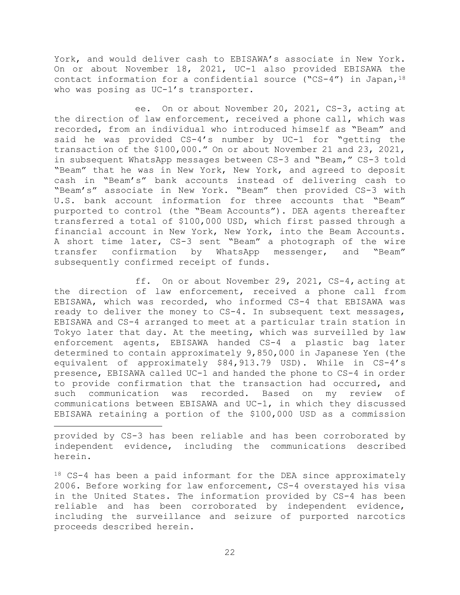York, and would deliver cash to EBISAWA's associate in New York. On or about November 18, 2021, UC-1 also provided EBISAWA the contact information for a confidential source ("CS-4") in Japan,  $18$ who was posing as UC-1's transporter.

ee. On or about November 20, 2021, CS-3, acting at the direction of law enforcement, received a phone call, which was recorded, from an individual who introduced himself as "Beam" and said he was provided CS-4's number by UC-1 for "getting the transaction of the \$100,000." On or about November 21 and 23, 2021, in subsequent WhatsApp messages between CS-3 and "Beam," CS-3 told "Beam" that he was in New York, New York, and agreed to deposit cash in "Beam's" bank accounts instead of delivering cash to "Beam's" associate in New York. "Beam" then provided CS-3 with U.S. bank account information for three accounts that "Beam" purported to control (the "Beam Accounts"). DEA agents thereafter transferred a total of \$100,000 USD, which first passed through a financial account in New York, New York, into the Beam Accounts. A short time later, CS-3 sent "Beam" a photograph of the wire transfer confirmation by WhatsApp messenger, and "Beam" subsequently confirmed receipt of funds.

ff. On or about November 29, 2021, CS-4, acting at the direction of law enforcement, received a phone call from EBISAWA, which was recorded, who informed CS-4 that EBISAWA was ready to deliver the money to CS-4. In subsequent text messages, EBISAWA and CS-4 arranged to meet at a particular train station in Tokyo later that day. At the meeting, which was surveilled by law enforcement agents, EBISAWA handed CS-4 a plastic bag later determined to contain approximately 9,850,000 in Japanese Yen (the equivalent of approximately \$84,913.79 USD). While in CS-4's presence, EBISAWA called UC-1 and handed the phone to CS-4 in order to provide confirmation that the transaction had occurred, and such communication was recorded. Based on my review of communications between EBISAWA and UC-1, in which they discussed EBISAWA retaining a portion of the \$100,000 USD as a commission

provided by CS-3 has been reliable and has been corroborated by independent evidence, including the communications described herein.

<sup>18</sup> CS-4 has been a paid informant for the DEA since approximately 2006. Before working for law enforcement, CS-4 overstayed his visa in the United States. The information provided by CS-4 has been reliable and has been corroborated by independent evidence, including the surveillance and seizure of purported narcotics proceeds described herein.

22